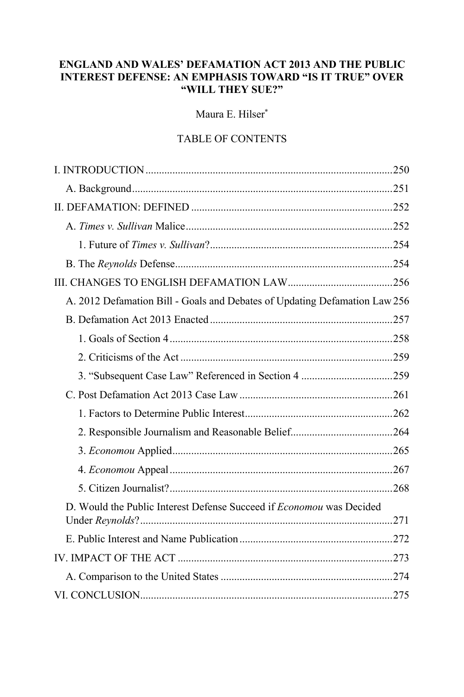# **ENGLAND AND WALES' DEFAMATION ACT 2013 AND THE PUBLIC INTEREST DEFENSE: AN EMPHASIS TOWARD "IS IT TRUE" OVER "WILL THEY SUE?"**

Maura E. Hilser\*

# TABLE OF CONTENTS

| A. 2012 Defamation Bill - Goals and Debates of Updating Defamation Law 256  |
|-----------------------------------------------------------------------------|
|                                                                             |
|                                                                             |
|                                                                             |
|                                                                             |
|                                                                             |
|                                                                             |
|                                                                             |
|                                                                             |
|                                                                             |
|                                                                             |
| D. Would the Public Interest Defense Succeed if <i>Economou</i> was Decided |
|                                                                             |
|                                                                             |
|                                                                             |
|                                                                             |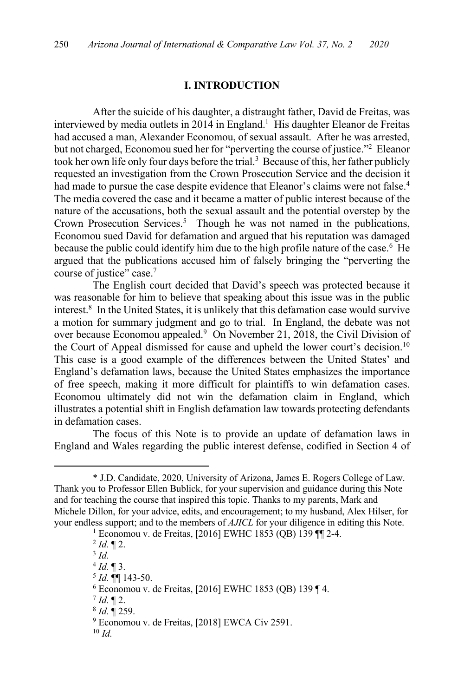#### **I. INTRODUCTION**

After the suicide of his daughter, a distraught father, David de Freitas, was interviewed by media outlets in 2014 in England.<sup>1</sup> His daughter Eleanor de Freitas had accused a man, Alexander Economou, of sexual assault. After he was arrested, but not charged, Economou sued her for "perverting the course of justice."2 Eleanor took her own life only four days before the trial.<sup>3</sup> Because of this, her father publicly requested an investigation from the Crown Prosecution Service and the decision it had made to pursue the case despite evidence that Eleanor's claims were not false.<sup>4</sup> The media covered the case and it became a matter of public interest because of the nature of the accusations, both the sexual assault and the potential overstep by the Crown Prosecution Services. <sup>5</sup> Though he was not named in the publications, Economou sued David for defamation and argued that his reputation was damaged because the public could identify him due to the high profile nature of the case.<sup>6</sup> He argued that the publications accused him of falsely bringing the "perverting the course of justice" case.<sup>7</sup>

The English court decided that David's speech was protected because it was reasonable for him to believe that speaking about this issue was in the public interest.8 In the United States, it is unlikely that this defamation case would survive a motion for summary judgment and go to trial. In England, the debate was not over because Economou appealed. <sup>9</sup> On November 21, 2018, the Civil Division of the Court of Appeal dismissed for cause and upheld the lower court's decision.<sup>10</sup> This case is a good example of the differences between the United States' and England's defamation laws, because the United States emphasizes the importance of free speech, making it more difficult for plaintiffs to win defamation cases. Economou ultimately did not win the defamation claim in England, which illustrates a potential shift in English defamation law towards protecting defendants in defamation cases.

The focus of this Note is to provide an update of defamation laws in England and Wales regarding the public interest defense, codified in Section 4 of

 $^{2}$  *Id.*  $\P$  2.

<sup>3</sup> *Id.*

 $<sup>5</sup>$  *Id.*  $\P\P$  143-50.</sup>

 $7$  *Id.*  $\P$  2.

<sup>\*</sup> J.D. Candidate, 2020, University of Arizona, James E. Rogers College of Law. Thank you to Professor Ellen Bublick, for your supervision and guidance during this Note and for teaching the course that inspired this topic. Thanks to my parents, Mark and Michele Dillon, for your advice, edits, and encouragement; to my husband, Alex Hilser, for your endless support; and to the members of *AJICL* for your diligence in editing this Note.

<sup>1</sup> Economou v. de Freitas, [2016] EWHC 1853 (QB) 139 ¶¶ 2-4.

 $4$  *Id.*  $\sqrt{\frac{3}{2}}$ .

<sup>6</sup> Economou v. de Freitas, [2016] EWHC 1853 (QB) 139 ¶ 4.

<sup>8</sup> *Id.* ¶ 259.

<sup>9</sup> Economou v. de Freitas, [2018] EWCA Civ 2591.

<sup>10</sup> *Id.*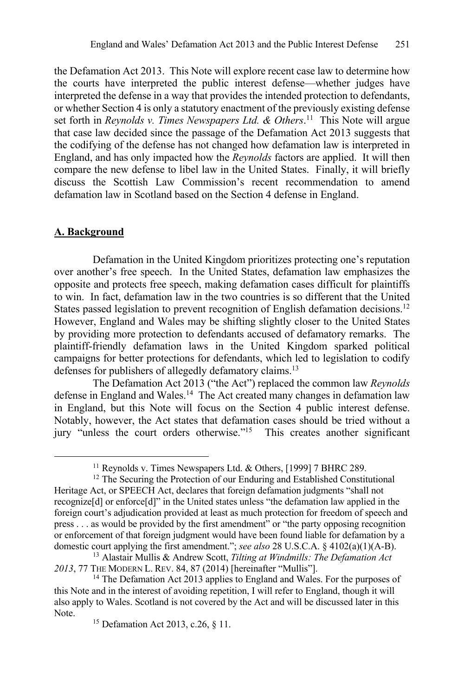the Defamation Act 2013. This Note will explore recent case law to determine how the courts have interpreted the public interest defense—whether judges have interpreted the defense in a way that provides the intended protection to defendants, or whether Section 4 is only a statutory enactment of the previously existing defense set forth in *Reynolds v. Times Newspapers Ltd. & Others*. 11 This Note will argue that case law decided since the passage of the Defamation Act 2013 suggests that the codifying of the defense has not changed how defamation law is interpreted in England, and has only impacted how the *Reynolds* factors are applied. It will then compare the new defense to libel law in the United States. Finally, it will briefly discuss the Scottish Law Commission's recent recommendation to amend defamation law in Scotland based on the Section 4 defense in England.

## **A. Background**

Defamation in the United Kingdom prioritizes protecting one's reputation over another's free speech. In the United States, defamation law emphasizes the opposite and protects free speech, making defamation cases difficult for plaintiffs to win. In fact, defamation law in the two countries is so different that the United States passed legislation to prevent recognition of English defamation decisions.<sup>12</sup> However, England and Wales may be shifting slightly closer to the United States by providing more protection to defendants accused of defamatory remarks. The plaintiff-friendly defamation laws in the United Kingdom sparked political campaigns for better protections for defendants, which led to legislation to codify defenses for publishers of allegedly defamatory claims.<sup>13</sup>

The Defamation Act 2013 ("the Act") replaced the common law *Reynolds* defense in England and Wales.<sup>14</sup> The Act created many changes in defamation law in England, but this Note will focus on the Section 4 public interest defense. Notably, however, the Act states that defamation cases should be tried without a jury "unless the court orders otherwise."15 This creates another significant

<sup>&</sup>lt;sup>11</sup> Reynolds v. Times Newspapers Ltd. & Others, [1999] 7 BHRC 289.

<sup>&</sup>lt;sup>12</sup> The Securing the Protection of our Enduring and Established Constitutional Heritage Act, or SPEECH Act, declares that foreign defamation judgments "shall not recognize[d] or enforce[d]" in the United states unless "the defamation law applied in the foreign court's adjudication provided at least as much protection for freedom of speech and press . . . as would be provided by the first amendment" or "the party opposing recognition or enforcement of that foreign judgment would have been found liable for defamation by a domestic court applying the first amendment."; *see also* 28 U.S.C.A. § 4102(a)(1)(A-B).

<sup>13</sup> Alastair Mullis & Andrew Scott, *Tilting at Windmills: The Defamation Act 2013*, 77 THE MODERN L. REV. 84, 87 (2014) [hereinafter "Mullis"].

<sup>&</sup>lt;sup>14</sup> The Defamation Act 2013 applies to England and Wales. For the purposes of this Note and in the interest of avoiding repetition, I will refer to England, though it will also apply to Wales. Scotland is not covered by the Act and will be discussed later in this Note.

<sup>15</sup> Defamation Act 2013, c.26, § 11.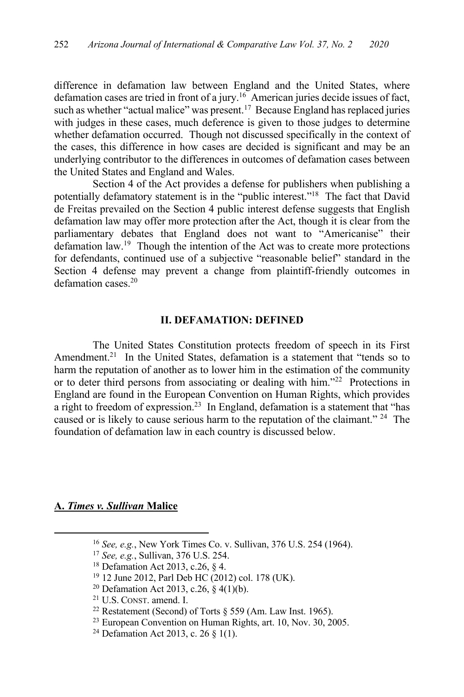difference in defamation law between England and the United States, where defamation cases are tried in front of a jury.<sup>16</sup> American juries decide issues of fact, such as whether "actual malice" was present.<sup>17</sup> Because England has replaced juries with judges in these cases, much deference is given to those judges to determine whether defamation occurred. Though not discussed specifically in the context of the cases, this difference in how cases are decided is significant and may be an underlying contributor to the differences in outcomes of defamation cases between the United States and England and Wales.

Section 4 of the Act provides a defense for publishers when publishing a potentially defamatory statement is in the "public interest."18 The fact that David de Freitas prevailed on the Section 4 public interest defense suggests that English defamation law may offer more protection after the Act, though it is clear from the parliamentary debates that England does not want to "Americanise" their defamation law.<sup>19</sup> Though the intention of the Act was to create more protections for defendants, continued use of a subjective "reasonable belief" standard in the Section 4 defense may prevent a change from plaintiff-friendly outcomes in defamation cases.<sup>20</sup>

#### **II. DEFAMATION: DEFINED**

The United States Constitution protects freedom of speech in its First Amendment.<sup>21</sup> In the United States, defamation is a statement that "tends so to harm the reputation of another as to lower him in the estimation of the community or to deter third persons from associating or dealing with him."<sup>22</sup> Protections in England are found in the European Convention on Human Rights, which provides a right to freedom of expression.<sup>23</sup> In England, defamation is a statement that "has caused or is likely to cause serious harm to the reputation of the claimant." <sup>24</sup> The foundation of defamation law in each country is discussed below.

#### **A.** *Times v. Sullivan* **Malice**

<sup>16</sup> *See, e.g.*, New York Times Co. v. Sullivan, 376 U.S. 254 (1964).

<sup>17</sup> *See, e.g.*, Sullivan, 376 U.S. 254.

<sup>18</sup> Defamation Act 2013, c.26, § 4.

<sup>19</sup> 12 June 2012, Parl Deb HC (2012) col. 178 (UK).

<sup>20</sup> Defamation Act 2013, c.26, § 4(1)(b).

<sup>&</sup>lt;sup>21</sup> U.S. CONST. amend. I.<br><sup>22</sup> Restatement (Second) of Torts § 559 (Am. Law Inst. 1965).<br><sup>23</sup> European Convention on Human Rights, art. 10, Nov. 30, 2005.

<sup>24</sup> Defamation Act 2013, c. 26 § 1(1).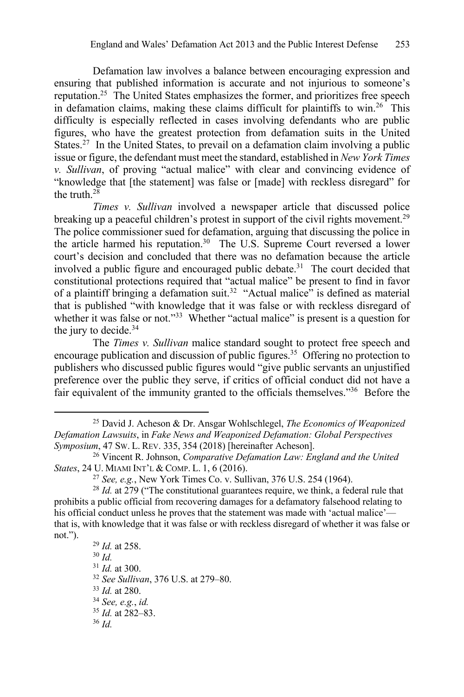Defamation law involves a balance between encouraging expression and ensuring that published information is accurate and not injurious to someone's reputation.25 The United States emphasizes the former, and prioritizes free speech in defamation claims, making these claims difficult for plaintiffs to win.<sup>26</sup> This difficulty is especially reflected in cases involving defendants who are public figures, who have the greatest protection from defamation suits in the United States.<sup>27</sup> In the United States, to prevail on a defamation claim involving a public issue or figure, the defendant must meet the standard, established in *New York Times v. Sullivan*, of proving "actual malice" with clear and convincing evidence of "knowledge that [the statement] was false or [made] with reckless disregard" for the truth  $^{28}$ 

*Times v. Sullivan* involved a newspaper article that discussed police breaking up a peaceful children's protest in support of the civil rights movement.<sup>29</sup> The police commissioner sued for defamation, arguing that discussing the police in the article harmed his reputation.<sup>30</sup> The U.S. Supreme Court reversed a lower court's decision and concluded that there was no defamation because the article involved a public figure and encouraged public debate.<sup>31</sup> The court decided that constitutional protections required that "actual malice" be present to find in favor of a plaintiff bringing a defamation suit.<sup>32</sup> "Actual malice" is defined as material that is published "with knowledge that it was false or with reckless disregard of whether it was false or not."33 Whether "actual malice" is present is a question for the jury to decide.<sup>34</sup>

The *Times v. Sullivan* malice standard sought to protect free speech and encourage publication and discussion of public figures.<sup>35</sup> Offering no protection to publishers who discussed public figures would "give public servants an unjustified preference over the public they serve, if critics of official conduct did not have a fair equivalent of the immunity granted to the officials themselves."36 Before the

<sup>25</sup> David J. Acheson & Dr. Ansgar Wohlschlegel, *The Economics of Weaponized Defamation Lawsuits*, in *Fake News and Weaponized Defamation: Global Perspectives Symposium*, 47 SW. L. REV. 335, 354 (2018) [hereinafter Acheson].

<sup>26</sup> Vincent R. Johnson, *Comparative Defamation Law: England and the United States*, 24 U. MIAMI INT'L & COMP. L. 1, 6 (2016).

<sup>27</sup> *See, e.g.*, New York Times Co. v. Sullivan, 376 U.S. 254 (1964).

<sup>28</sup> *Id.* at 279 ("The constitutional guarantees require, we think, a federal rule that prohibits a public official from recovering damages for a defamatory falsehood relating to his official conduct unless he proves that the statement was made with 'actual malice' that is, with knowledge that it was false or with reckless disregard of whether it was false or not.").

<sup>29</sup> *Id.* at 258. <sup>30</sup> *Id.* <sup>31</sup> *Id.* at 300. <sup>32</sup> *See Sullivan*, 376 U.S. at 279–80. <sup>33</sup> *Id.* at 280. 34 *See, e.g.*, *id.* <sup>35</sup> *Id.* at 282–83. <sup>36</sup> *Id.*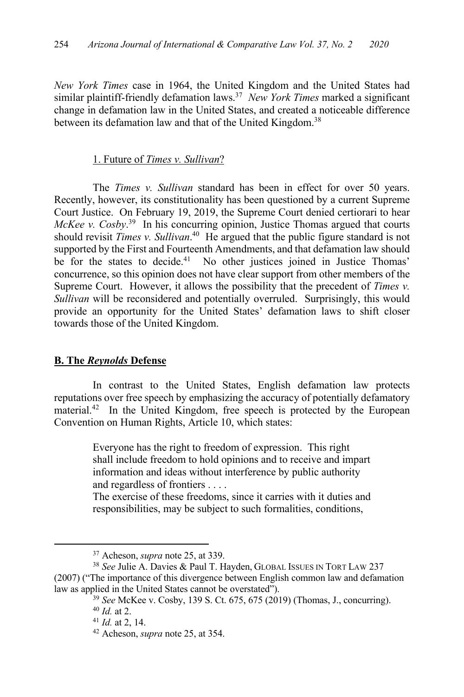*New York Times* case in 1964, the United Kingdom and the United States had similar plaintiff-friendly defamation laws. <sup>37</sup> *New York Times* marked a significant change in defamation law in the United States, and created a noticeable difference between its defamation law and that of the United Kingdom.<sup>38</sup>

## 1. Future of *Times v. Sullivan*?

The *Times v. Sullivan* standard has been in effect for over 50 years. Recently, however, its constitutionality has been questioned by a current Supreme Court Justice. On February 19, 2019, the Supreme Court denied certiorari to hear *McKee v. Cosby*. <sup>39</sup> In his concurring opinion, Justice Thomas argued that courts should revisit *Times v. Sullivan*. <sup>40</sup> He argued that the public figure standard is not supported by the First and Fourteenth Amendments, and that defamation law should be for the states to decide.<sup>41</sup> No other justices joined in Justice Thomas' concurrence, so this opinion does not have clear support from other members of the Supreme Court. However, it allows the possibility that the precedent of *Times v. Sullivan* will be reconsidered and potentially overruled. Surprisingly, this would provide an opportunity for the United States' defamation laws to shift closer towards those of the United Kingdom.

# **B. The** *Reynolds* **Defense**

In contrast to the United States, English defamation law protects reputations over free speech by emphasizing the accuracy of potentially defamatory material. <sup>42</sup> In the United Kingdom, free speech is protected by the European Convention on Human Rights, Article 10, which states:

> Everyone has the right to freedom of expression. This right shall include freedom to hold opinions and to receive and impart information and ideas without interference by public authority and regardless of frontiers . . . .

> The exercise of these freedoms, since it carries with it duties and responsibilities, may be subject to such formalities, conditions,

<sup>&</sup>lt;sup>37</sup> Acheson, *supra* note 25, at 339.<br><sup>38</sup> *See Julie A. Davies & Paul T. Hayden, GLOBAL ISSUES IN TORT LAW 237* (2007) ("The importance of this divergence between English common law and defamation law as applied in the United States cannot be overstated").

<sup>39</sup> *See* McKee v. Cosby, 139 S. Ct. 675, 675 (2019) (Thomas, J., concurring).

<sup>&</sup>lt;sup>40</sup> *Id.* at 2.<br><sup>41</sup> *Id.* at 2, 14.

<sup>&</sup>lt;sup>42</sup> Acheson, *supra* note 25, at 354.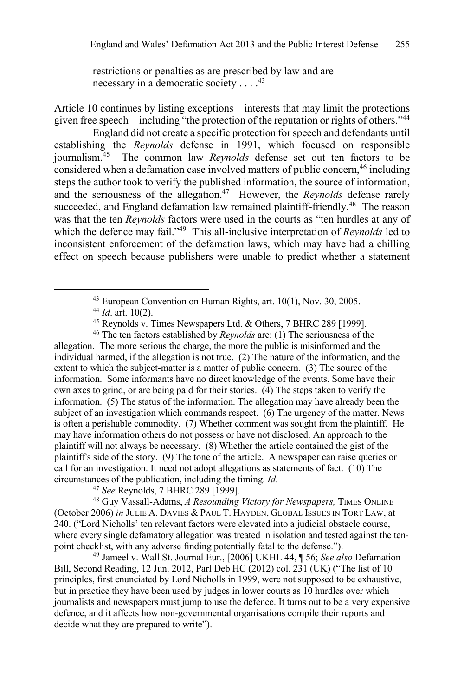restrictions or penalties as are prescribed by law and are necessary in a democratic society . . . .<sup>43</sup>

Article 10 continues by listing exceptions—interests that may limit the protections given free speech—including "the protection of the reputation or rights of others."44

England did not create a specific protection for speech and defendants until establishing the *Reynolds* defense in 1991, which focused on responsible journalism. <sup>45</sup> The common law *Reynolds* defense set out ten factors to be considered when a defamation case involved matters of public concern, <sup>46</sup> including steps the author took to verify the published information, the source of information, and the seriousness of the allegation.47 However, the *Reynolds* defense rarely succeeded, and England defamation law remained plaintiff-friendly.<sup>48</sup> The reason was that the ten *Reynolds* factors were used in the courts as "ten hurdles at any of which the defence may fail."49 This all-inclusive interpretation of *Reynolds* led to inconsistent enforcement of the defamation laws, which may have had a chilling effect on speech because publishers were unable to predict whether a statement

<sup>46</sup> The ten factors established by *Reynolds* are: (1) The seriousness of the allegation. The more serious the charge, the more the public is misinformed and the individual harmed, if the allegation is not true. (2) The nature of the information, and the extent to which the subject-matter is a matter of public concern. (3) The source of the information. Some informants have no direct knowledge of the events. Some have their own axes to grind, or are being paid for their stories. (4) The steps taken to verify the information. (5) The status of the information. The allegation may have already been the subject of an investigation which commands respect. (6) The urgency of the matter. News is often a perishable commodity. (7) Whether comment was sought from the plaintiff. He may have information others do not possess or have not disclosed. An approach to the plaintiff will not always be necessary. (8) Whether the article contained the gist of the plaintiff's side of the story. (9) The tone of the article. A newspaper can raise queries or call for an investigation. It need not adopt allegations as statements of fact. (10) The circumstances of the publication, including the timing. *Id*.

<sup>47</sup> *See* Reynolds, 7 BHRC 289 [1999].

<sup>48</sup> Guy Vassall-Adams, *A Resounding Victory for Newspapers,* TIMES ONLINE (October 2006) *in* JULIE A. DAVIES & PAUL T. HAYDEN, GLOBAL ISSUES IN TORT LAW, at 240. ("Lord Nicholls' ten relevant factors were elevated into a judicial obstacle course, where every single defamatory allegation was treated in isolation and tested against the tenpoint checklist, with any adverse finding potentially fatal to the defense."). 49 Jameel v. Wall St. Journal Eur., [2006] UKHL 44, ¶ 56; *See also* Defamation

Bill, Second Reading, 12 Jun. 2012, Parl Deb HC (2012) col. 231 (UK) ("The list of 10 principles, first enunciated by Lord Nicholls in 1999, were not supposed to be exhaustive, but in practice they have been used by judges in lower courts as 10 hurdles over which journalists and newspapers must jump to use the defence. It turns out to be a very expensive defence, and it affects how non-governmental organisations compile their reports and decide what they are prepared to write").

<sup>43</sup> European Convention on Human Rights, art. 10(1), Nov. 30, 2005.

<sup>44</sup> *Id*. art. 10(2).

<sup>45</sup> Reynolds v. Times Newspapers Ltd. & Others, 7 BHRC 289 [1999].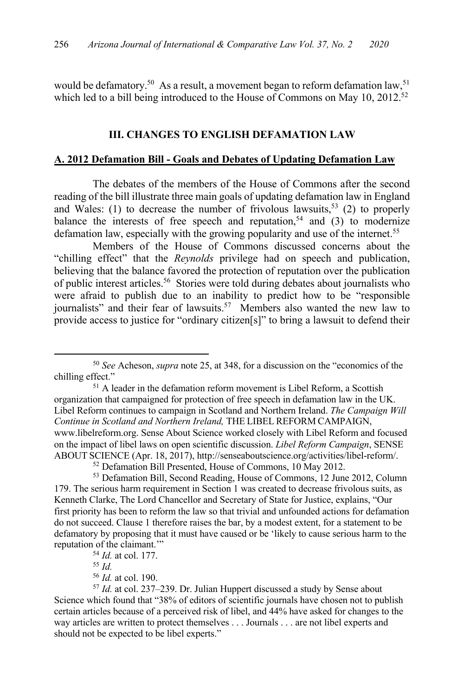would be defamatory.<sup>50</sup> As a result, a movement began to reform defamation law,<sup>51</sup> which led to a bill being introduced to the House of Commons on May 10, 2012.<sup>52</sup>

#### **III. CHANGES TO ENGLISH DEFAMATION LAW**

#### **A. 2012 Defamation Bill - Goals and Debates of Updating Defamation Law**

The debates of the members of the House of Commons after the second reading of the bill illustrate three main goals of updating defamation law in England and Wales: (1) to decrease the number of frivolous lawsuits,<sup>53</sup> (2) to properly balance the interests of free speech and reputation,<sup>54</sup> and  $(3)$  to modernize defamation law, especially with the growing popularity and use of the internet.<sup>55</sup>

Members of the House of Commons discussed concerns about the "chilling effect" that the *Reynolds* privilege had on speech and publication, believing that the balance favored the protection of reputation over the publication of public interest articles. <sup>56</sup> Stories were told during debates about journalists who were afraid to publish due to an inability to predict how to be "responsible journalists" and their fear of lawsuits.<sup>57</sup> Members also wanted the new law to provide access to justice for "ordinary citizen[s]" to bring a lawsuit to defend their

<sup>50</sup> *See* Acheson, *supra* note 25, at 348, for a discussion on the "economics of the chilling effect."<br><sup>51</sup> A leader in the defamation reform movement is Libel Reform, a Scottish

organization that campaigned for protection of free speech in defamation law in the UK. Libel Reform continues to campaign in Scotland and Northern Ireland. *The Campaign Will Continue in Scotland and Northern Ireland,* THE LIBEL REFORM CAMPAIGN, www.libelreform.org. Sense About Science worked closely with Libel Reform and focused on the impact of libel laws on open scientific discussion. *Libel Reform Campaign*, SENSE ABOUT SCIENCE (Apr. 18, 2017), http://senseaboutscience.org/activities/libel-reform/.

<sup>52</sup> Defamation Bill Presented, House of Commons, 10 May 2012.

<sup>53</sup> Defamation Bill, Second Reading, House of Commons, 12 June 2012, Column 179. The serious harm requirement in Section 1 was created to decrease frivolous suits, as Kenneth Clarke, The Lord Chancellor and Secretary of State for Justice, explains, "Our first priority has been to reform the law so that trivial and unfounded actions for defamation do not succeed. Clause 1 therefore raises the bar, by a modest extent, for a statement to be defamatory by proposing that it must have caused or be 'likely to cause serious harm to the reputation of the claimant.'"

<sup>54</sup> *Id.* at col. 177.

<sup>55</sup> *Id.*

<sup>56</sup> *Id.* at col. 190.

<sup>57</sup> *Id.* at col. 237–239. Dr. Julian Huppert discussed a study by Sense about Science which found that "38% of editors of scientific journals have chosen not to publish certain articles because of a perceived risk of libel, and 44% have asked for changes to the way articles are written to protect themselves . . . Journals . . . are not libel experts and should not be expected to be libel experts."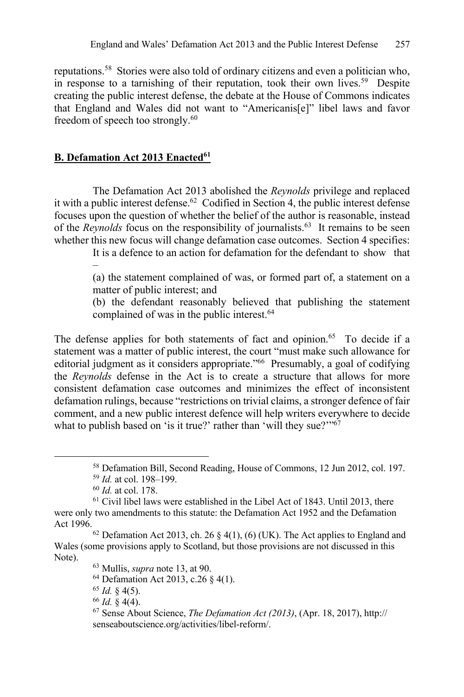reputations. <sup>58</sup> Stories were also told of ordinary citizens and even a politician who, in response to a tarnishing of their reputation, took their own lives.<sup>59</sup> Despite creating the public interest defense, the debate at the House of Commons indicates that England and Wales did not want to "Americanis[e]" libel laws and favor freedom of speech too strongly.<sup>60</sup>

# **B. Defamation Act 2013 Enacted<sup>61</sup>**

The Defamation Act 2013 abolished the *Reynolds* privilege and replaced it with a public interest defense.<sup>62</sup> Codified in Section 4, the public interest defense focuses upon the question of whether the belief of the author is reasonable, instead of the *Reynolds* focus on the responsibility of journalists. <sup>63</sup> It remains to be seen whether this new focus will change defamation case outcomes. Section 4 specifies:

> It is a defence to an action for defamation for the defendant to show that –

> (a) the statement complained of was, or formed part of, a statement on a matter of public interest; and

> (b) the defendant reasonably believed that publishing the statement complained of was in the public interest.<sup>64</sup>

The defense applies for both statements of fact and opinion.<sup>65</sup> To decide if a statement was a matter of public interest, the court "must make such allowance for editorial judgment as it considers appropriate."<sup>66</sup> Presumably, a goal of codifying the *Reynolds* defense in the Act is to create a structure that allows for more consistent defamation case outcomes and minimizes the effect of inconsistent defamation rulings, because "restrictions on trivial claims, a stronger defence of fair comment, and a new public interest defence will help writers everywhere to decide what to publish based on 'is it true?' rather than 'will they sue?'"<sup>67</sup>

<sup>58</sup> Defamation Bill, Second Reading, House of Commons, 12 Jun 2012, col. 197.

<sup>59</sup> *Id.* at col. 198–199.

<sup>60</sup> *Id.* at col. 178.

 $61$  Civil libel laws were established in the Libel Act of 1843. Until 2013, there were only two amendments to this statute: the Defamation Act 1952 and the Defamation Act 1996.

 $62$  Defamation Act 2013, ch. 26 § 4(1), (6) (UK). The Act applies to England and Wales (some provisions apply to Scotland, but those provisions are not discussed in this Note).

<sup>63</sup> Mullis, *supra* note 13, at 90.

<sup>64</sup> Defamation Act 2013, c.26 § 4(1).

 $65$  *Id.* § 4(5).

<sup>66</sup> *Id.* § 4(4).

<sup>67</sup> Sense About Science, *The Defamation Act (2013)*, (Apr. 18, 2017), http:// senseaboutscience.org/activities/libel-reform/.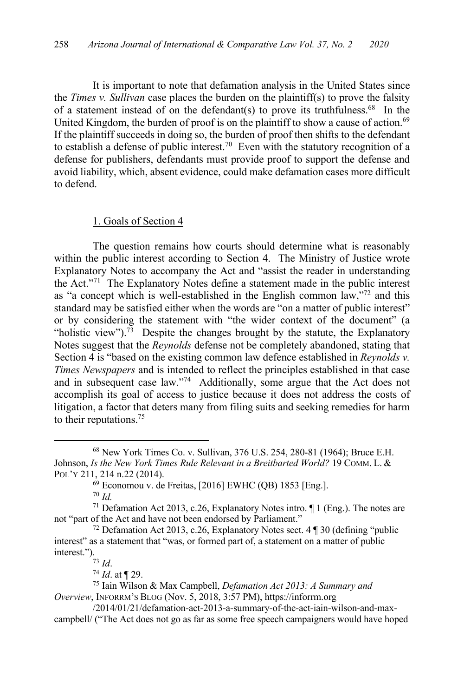It is important to note that defamation analysis in the United States since the *Times v. Sullivan* case places the burden on the plaintiff(s) to prove the falsity of a statement instead of on the defendant(s) to prove its truthfulness.<sup>68</sup> In the United Kingdom, the burden of proof is on the plaintiff to show a cause of action.<sup>69</sup> If the plaintiff succeeds in doing so, the burden of proof then shifts to the defendant to establish a defense of public interest.<sup>70</sup> Even with the statutory recognition of a defense for publishers, defendants must provide proof to support the defense and avoid liability, which, absent evidence, could make defamation cases more difficult to defend.

#### 1. Goals of Section 4

The question remains how courts should determine what is reasonably within the public interest according to Section 4. The Ministry of Justice wrote Explanatory Notes to accompany the Act and "assist the reader in understanding the Act."71 The Explanatory Notes define a statement made in the public interest as "a concept which is well-established in the English common law,"72 and this standard may be satisfied either when the words are "on a matter of public interest" or by considering the statement with "the wider context of the document" (a "holistic view").<sup>73</sup> Despite the changes brought by the statute, the Explanatory Notes suggest that the *Reynolds* defense not be completely abandoned, stating that Section 4 is "based on the existing common law defence established in *Reynolds v. Times Newspapers* and is intended to reflect the principles established in that case and in subsequent case law."74 Additionally, some argue that the Act does not accomplish its goal of access to justice because it does not address the costs of litigation, a factor that deters many from filing suits and seeking remedies for harm to their reputations. 75

<sup>68</sup> New York Times Co. v. Sullivan, 376 U.S. 254, 280-81 (1964); Bruce E.H. Johnson, *Is the New York Times Rule Relevant in a Breitbarted World?* 19 COMM. L. & POL'Y 211, 214 n.22 (2014).

 $69$  Economou v. de Freitas, [2016] EWHC (QB) 1853 [Eng.].

<sup>70</sup> *Id.*

<sup>&</sup>lt;sup>71</sup> Defamation Act 2013, c.26, Explanatory Notes intro.  $\P$  1 (Eng.). The notes are not "part of the Act and have not been endorsed by Parliament."

<sup>72</sup> Defamation Act 2013, c.26, Explanatory Notes sect. 4 ¶ 30 (defining "public interest" as a statement that "was, or formed part of, a statement on a matter of public interest.").<br> $^{73}$  *Id.* 

<sup>74</sup> *Id*. at ¶ 29.

<sup>75</sup> Iain Wilson & Max Campbell, *Defamation Act 2013: A Summary and Overview*, INFORRM'S BLOG (Nov. 5, 2018, 3:57 PM), https://inforrm.org

<sup>/2014/01/21/</sup>defamation-act-2013-a-summary-of-the-act-iain-wilson-and-maxcampbell/ ("The Act does not go as far as some free speech campaigners would have hoped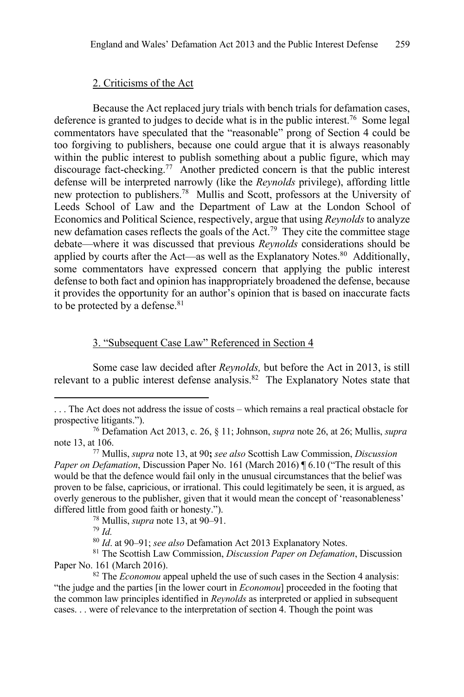#### 2. Criticisms of the Act

Because the Act replaced jury trials with bench trials for defamation cases, deference is granted to judges to decide what is in the public interest.76 Some legal commentators have speculated that the "reasonable" prong of Section 4 could be too forgiving to publishers, because one could argue that it is always reasonably within the public interest to publish something about a public figure, which may discourage fact-checking.77 Another predicted concern is that the public interest defense will be interpreted narrowly (like the *Reynolds* privilege), affording little new protection to publishers.<sup>78</sup> Mullis and Scott, professors at the University of Leeds School of Law and the Department of Law at the London School of Economics and Political Science, respectively, argue that using *Reynolds* to analyze new defamation cases reflects the goals of the Act.<sup>79</sup> They cite the committee stage debate—where it was discussed that previous *Reynolds* considerations should be applied by courts after the Act—as well as the Explanatory Notes.<sup>80</sup> Additionally, some commentators have expressed concern that applying the public interest defense to both fact and opinion has inappropriately broadened the defense, because it provides the opportunity for an author's opinion that is based on inaccurate facts to be protected by a defense.<sup>81</sup>

#### 3. "Subsequent Case Law" Referenced in Section 4

Some case law decided after *Reynolds,* but before the Act in 2013, is still relevant to a public interest defense analysis.<sup>82</sup> The Explanatory Notes state that

<sup>. . .</sup> The Act does not address the issue of costs – which remains a real practical obstacle for prospective litigants.").

<sup>76</sup> Defamation Act 2013, c. 26, § 11; Johnson, *supra* note 26, at 26; Mullis, *supra* note 13, at 106.

<sup>77</sup> Mullis, *supra* note 13, at 90**;** *see also* Scottish Law Commission, *Discussion Paper on Defamation*, Discussion Paper No. 161 (March 2016) ¶ 6.10 ("The result of this would be that the defence would fail only in the unusual circumstances that the belief was proven to be false, capricious, or irrational. This could legitimately be seen, it is argued, as overly generous to the publisher, given that it would mean the concept of 'reasonableness' differed little from good faith or honesty.").

<sup>78</sup> Mullis, *supra* note 13, at 90–91.

<sup>79</sup> *Id.*

<sup>80</sup> *Id*. at 90–91; *see also* Defamation Act 2013 Explanatory Notes.

<sup>81</sup> The Scottish Law Commission, *Discussion Paper on Defamation*, Discussion Paper No. 161 (March 2016).<br><sup>82</sup> The *Economou* appeal upheld the use of such cases in the Section 4 analysis:

<sup>&</sup>quot;the judge and the parties [in the lower court in *Economou*] proceeded in the footing that the common law principles identified in *Reynolds* as interpreted or applied in subsequent cases. . . were of relevance to the interpretation of section 4. Though the point was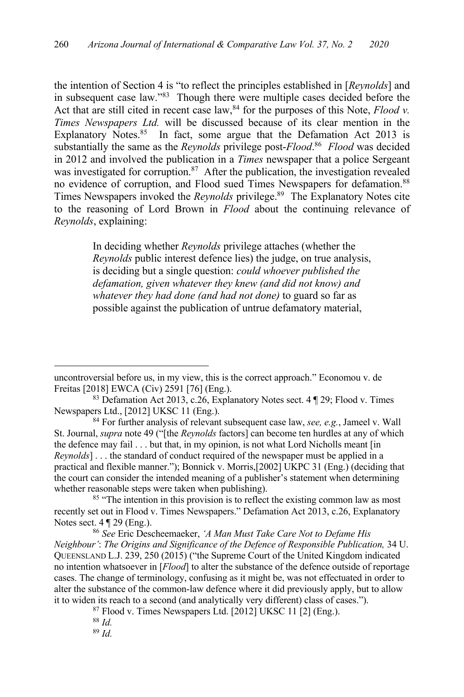the intention of Section 4 is "to reflect the principles established in [*Reynolds*] and in subsequent case law."83 Though there were multiple cases decided before the Act that are still cited in recent case  $\text{law},^{84}$  for the purposes of this Note, *Flood v*. *Times Newspapers Ltd.* will be discussed because of its clear mention in the Explanatory Notes. $85$  In fact, some argue that the Defamation Act 2013 is substantially the same as the *Reynolds* privilege post-*Flood*. <sup>86</sup> *Flood* was decided in 2012 and involved the publication in a *Times* newspaper that a police Sergeant was investigated for corruption.<sup>87</sup> After the publication, the investigation revealed no evidence of corruption, and Flood sued Times Newspapers for defamation.<sup>88</sup> Times Newspapers invoked the *Reynolds* privilege.<sup>89</sup> The Explanatory Notes cite to the reasoning of Lord Brown in *Flood* about the continuing relevance of *Reynolds*, explaining:

> In deciding whether *Reynolds* privilege attaches (whether the *Reynolds* public interest defence lies) the judge, on true analysis, is deciding but a single question: *could whoever published the defamation, given whatever they knew (and did not know) and whatever they had done (and had not done)* to guard so far as possible against the publication of untrue defamatory material,

<sup>85</sup> "The intention in this provision is to reflect the existing common law as most recently set out in Flood v. Times Newspapers." Defamation Act 2013, c.26, Explanatory Notes sect. 4 ¶ 29 (Eng.).

<sup>86</sup> *See* Eric Descheemaeker, *'A Man Must Take Care Not to Defame His Neighbour'*: *The Origins and Significance of the Defence of Responsible Publication,* 34 U. QUEENSLAND L.J. 239, 250 (2015) ("the Supreme Court of the United Kingdom indicated no intention whatsoever in [*Flood*] to alter the substance of the defence outside of reportage cases. The change of terminology, confusing as it might be, was not effectuated in order to alter the substance of the common-law defence where it did previously apply, but to allow it to widen its reach to a second (and analytically very different) class of cases.").

 $87$  Flood v. Times Newspapers Ltd. [2012] UKSC 11 [2] (Eng.).

uncontroversial before us, in my view, this is the correct approach." Economou v. de Freitas [2018] EWCA (Civ) 2591 [76] (Eng.).

<sup>83</sup> Defamation Act 2013, c.26, Explanatory Notes sect. 4 ¶ 29; Flood v. Times Newspapers Ltd., [2012] UKSC 11 (Eng.).

<sup>84</sup> For further analysis of relevant subsequent case law, *see, e.g.*, Jameel v. Wall St. Journal, *supra* note 49 ("[the *Reynolds* factors] can become ten hurdles at any of which the defence may fail . . . but that, in my opinion, is not what Lord Nicholls meant [in *Reynolds*]... the standard of conduct required of the newspaper must be applied in a practical and flexible manner."); Bonnick v. Morris,[2002] UKPC 31 (Eng.) (deciding that the court can consider the intended meaning of a publisher's statement when determining whether reasonable steps were taken when publishing).

<sup>88</sup> *Id.*

<sup>89</sup> *Id.*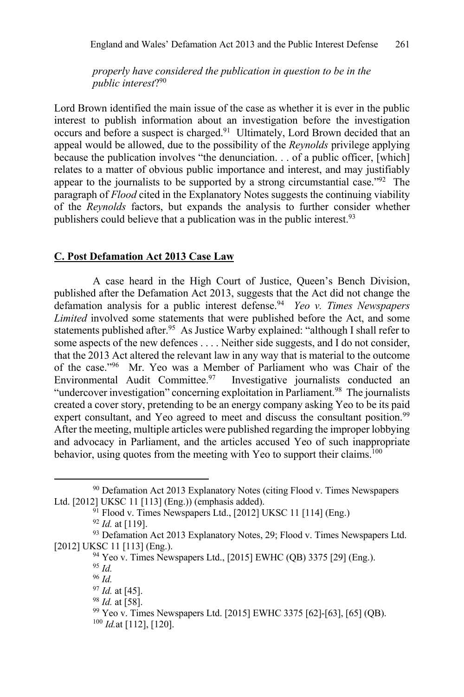*properly have considered the publication in question to be in the public interest*?90

Lord Brown identified the main issue of the case as whether it is ever in the public interest to publish information about an investigation before the investigation occurs and before a suspect is charged.<sup>91</sup> Ultimately, Lord Brown decided that an appeal would be allowed, due to the possibility of the *Reynolds* privilege applying because the publication involves "the denunciation. . . of a public officer, [which] relates to a matter of obvious public importance and interest, and may justifiably appear to the journalists to be supported by a strong circumstantial case."92 The paragraph of *Flood* cited in the Explanatory Notes suggests the continuing viability of the *Reynolds* factors, but expands the analysis to further consider whether publishers could believe that a publication was in the public interest.<sup>93</sup>

#### **C. Post Defamation Act 2013 Case Law**

A case heard in the High Court of Justice, Queen's Bench Division, published after the Defamation Act 2013, suggests that the Act did not change the defamation analysis for a public interest defense.94 *Yeo v. Times Newspapers Limited* involved some statements that were published before the Act, and some statements published after.<sup>95</sup> As Justice Warby explained: "although I shall refer to some aspects of the new defences . . . . Neither side suggests, and I do not consider, that the 2013 Act altered the relevant law in any way that is material to the outcome of the case."96 Mr. Yeo was a Member of Parliament who was Chair of the Environmental Audit Committee.<sup>97</sup> Investigative journalists conducted an "undercover investigation" concerning exploitation in Parliament.<sup>98</sup> The journalists created a cover story, pretending to be an energy company asking Yeo to be its paid expert consultant, and Yeo agreed to meet and discuss the consultant position.<sup>99</sup> After the meeting, multiple articles were published regarding the improper lobbying and advocacy in Parliament, and the articles accused Yeo of such inappropriate behavior, using quotes from the meeting with Yeo to support their claims.<sup>100</sup>

<sup>95</sup> *Id.*

<sup>&</sup>lt;sup>90</sup> Defamation Act 2013 Explanatory Notes (citing Flood v. Times Newspapers Ltd. [2012] UKSC 11 [113] (Eng.)) (emphasis added).

 $91$  Flood v. Times Newspapers Ltd., [2012] UKSC 11 [114] (Eng.)

<sup>92</sup> *Id.* at [119].

<sup>93</sup> Defamation Act 2013 Explanatory Notes, 29; Flood v. Times Newspapers Ltd. [2012] UKSC 11 [113] (Eng.).

<sup>94</sup> Yeo v. Times Newspapers Ltd., [2015] EWHC (QB) 3375 [29] (Eng.).

<sup>96</sup> *Id.*

<sup>97</sup> *Id.* at [45].

<sup>98</sup> *Id.* at [58].

<sup>99</sup> Yeo v. Times Newspapers Ltd. [2015] EWHC 3375 [62]-[63], [65] (QB).

<sup>100</sup> *Id.*at [112], [120].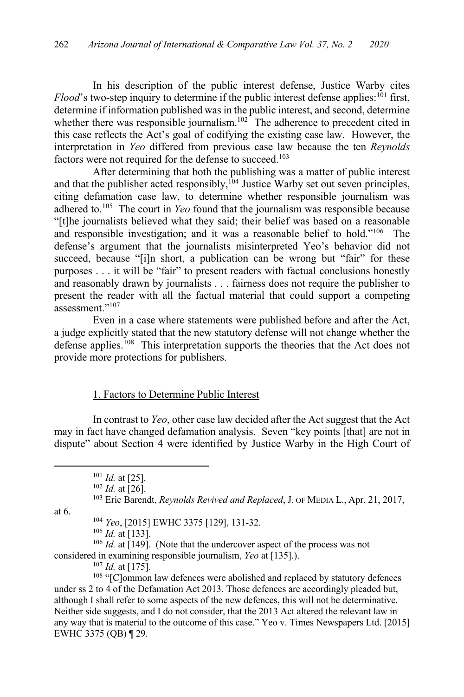In his description of the public interest defense, Justice Warby cites Flood's two-step inquiry to determine if the public interest defense applies:<sup>101</sup> first, determine if information published was in the public interest, and second, determine whether there was responsible journalism.<sup>102</sup> The adherence to precedent cited in this case reflects the Act's goal of codifying the existing case law. However, the interpretation in *Yeo* differed from previous case law because the ten *Reynolds* factors were not required for the defense to succeed.<sup>103</sup>

After determining that both the publishing was a matter of public interest and that the publisher acted responsibly,<sup>104</sup> Justice Warby set out seven principles, citing defamation case law, to determine whether responsible journalism was adhered to.105 The court in *Yeo* found that the journalism was responsible because "[t]he journalists believed what they said; their belief was based on a reasonable and responsible investigation; and it was a reasonable belief to hold."106 The defense's argument that the journalists misinterpreted Yeo's behavior did not succeed, because "[i]n short, a publication can be wrong but "fair" for these purposes . . . it will be "fair" to present readers with factual conclusions honestly and reasonably drawn by journalists . . . fairness does not require the publisher to present the reader with all the factual material that could support a competing assessment."<sup>107</sup>

Even in a case where statements were published before and after the Act, a judge explicitly stated that the new statutory defense will not change whether the defense applies.<sup>108</sup> This interpretation supports the theories that the Act does not provide more protections for publishers.

#### 1. Factors to Determine Public Interest

In contrast to *Yeo*, other case law decided after the Act suggest that the Act may in fact have changed defamation analysis. Seven "key points [that] are not in dispute" about Section 4 were identified by Justice Warby in the High Court of

at 6.

<sup>104</sup> *Yeo*, [2015] EWHC 3375 [129], 131-32.

<sup>105</sup> *Id.* at [133].

<sup>106</sup> *Id.* at [149]. (Note that the undercover aspect of the process was not considered in examining responsible journalism, *Yeo* at [135].).

<sup>107</sup> *Id.* at [175].

<sup>108</sup> "[C]ommon law defences were abolished and replaced by statutory defences under ss 2 to 4 of the Defamation Act 2013. Those defences are accordingly pleaded but, although I shall refer to some aspects of the new defences, this will not be determinative. Neither side suggests, and I do not consider, that the 2013 Act altered the relevant law in any way that is material to the outcome of this case." Yeo v. Times Newspapers Ltd. [2015] EWHC 3375 (QB) ¶ 29.

<sup>101</sup> *Id.* at [25].

<sup>102</sup> *Id.* at [26].

<sup>103</sup> Eric Barendt, *Reynolds Revived and Replaced*, J. OF MEDIA L., Apr. 21, 2017,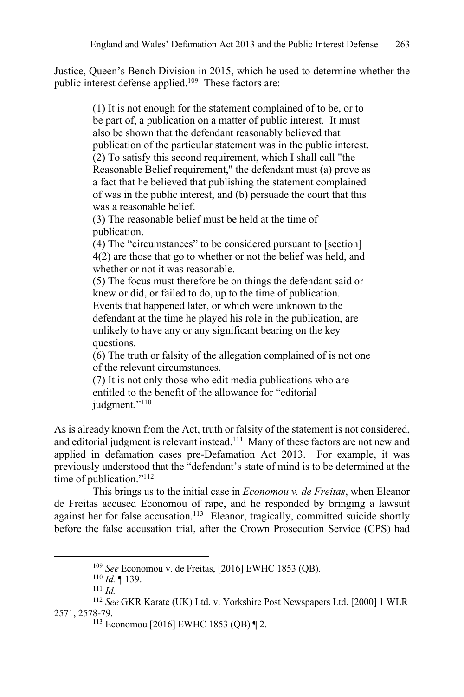Justice, Queen's Bench Division in 2015, which he used to determine whether the public interest defense applied.<sup>109</sup> These factors are:

> (1) It is not enough for the statement complained of to be, or to be part of, a publication on a matter of public interest. It must also be shown that the defendant reasonably believed that publication of the particular statement was in the public interest. (2) To satisfy this second requirement, which I shall call "the Reasonable Belief requirement," the defendant must (a) prove as a fact that he believed that publishing the statement complained of was in the public interest, and (b) persuade the court that this was a reasonable belief.

(3) The reasonable belief must be held at the time of publication.

(4) The "circumstances" to be considered pursuant to [section] 4(2) are those that go to whether or not the belief was held, and whether or not it was reasonable.

(5) The focus must therefore be on things the defendant said or knew or did, or failed to do, up to the time of publication. Events that happened later, or which were unknown to the defendant at the time he played his role in the publication, are unlikely to have any or any significant bearing on the key questions.

(6) The truth or falsity of the allegation complained of is not one of the relevant circumstances.

(7) It is not only those who edit media publications who are entitled to the benefit of the allowance for "editorial judgment."<sup>110</sup>

As is already known from the Act, truth or falsity of the statement is not considered, and editorial judgment is relevant instead.<sup>111</sup> Many of these factors are not new and applied in defamation cases pre-Defamation Act 2013. For example, it was previously understood that the "defendant's state of mind is to be determined at the time of publication."112

This brings us to the initial case in *Economou v. de Freitas*, when Eleanor de Freitas accused Economou of rape, and he responded by bringing a lawsuit against her for false accusation.<sup>113</sup> Eleanor, tragically, committed suicide shortly before the false accusation trial, after the Crown Prosecution Service (CPS) had

<sup>109</sup> *See* Economou v. de Freitas, [2016] EWHC 1853 (QB).

<sup>110</sup> *Id.* ¶ 139.

<sup>111</sup> *Id.*

<sup>112</sup> *See* GKR Karate (UK) Ltd. v. Yorkshire Post Newspapers Ltd. [2000] 1 WLR 2571, 2578-79.

<sup>113</sup> Economou [2016] EWHC 1853 (QB) ¶ 2.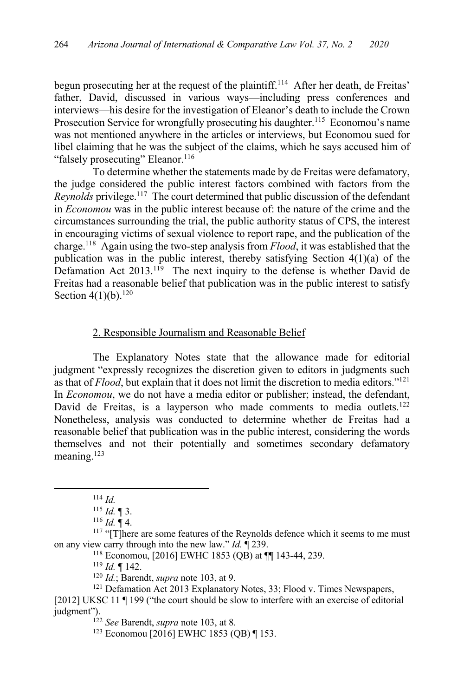begun prosecuting her at the request of the plaintiff.<sup>114</sup> After her death, de Freitas' father, David, discussed in various ways—including press conferences and interviews—his desire for the investigation of Eleanor's death to include the Crown Prosecution Service for wrongfully prosecuting his daughter.<sup>115</sup> Economou's name was not mentioned anywhere in the articles or interviews, but Economou sued for libel claiming that he was the subject of the claims, which he says accused him of "falsely prosecuting" Eleanor.<sup>116</sup>

To determine whether the statements made by de Freitas were defamatory, the judge considered the public interest factors combined with factors from the *Reynolds* privilege.117 The court determined that public discussion of the defendant in *Economou* was in the public interest because of: the nature of the crime and the circumstances surrounding the trial, the public authority status of CPS, the interest in encouraging victims of sexual violence to report rape, and the publication of the charge.118 Again using the two-step analysis from *Flood*, it was established that the publication was in the public interest, thereby satisfying Section 4(1)(a) of the Defamation Act 2013.<sup>119</sup> The next inquiry to the defense is whether David de Freitas had a reasonable belief that publication was in the public interest to satisfy Section  $4(1)(b)$ .<sup>120</sup>

#### 2. Responsible Journalism and Reasonable Belief

The Explanatory Notes state that the allowance made for editorial judgment "expressly recognizes the discretion given to editors in judgments such as that of *Flood*, but explain that it does not limit the discretion to media editors."121 In *Economou*, we do not have a media editor or publisher; instead, the defendant, David de Freitas, is a layperson who made comments to media outlets.<sup>122</sup> Nonetheless, analysis was conducted to determine whether de Freitas had a reasonable belief that publication was in the public interest, considering the words themselves and not their potentially and sometimes secondary defamatory meaning.123

<sup>119</sup> *Id.* ¶ 142.

[2012] UKSC 11 ¶ 199 ("the court should be slow to interfere with an exercise of editorial judgment").

<sup>114</sup> *Id.*

<sup>115</sup> *Id.* ¶ 3.

 $116$  *Id.*  $\P$  4.

 $117$  "[T]here are some features of the Reynolds defence which it seems to me must on any view carry through into the new law." *Id.* ¶ 239.

<sup>118</sup> Economou, [2016] EWHC 1853 (QB) at ¶¶ 143-44, 239.

<sup>120</sup> *Id.*; Barendt, *supra* note 103, at 9.

<sup>&</sup>lt;sup>121</sup> Defamation Act 2013 Explanatory Notes, 33; Flood v. Times Newspapers,

<sup>122</sup> *See* Barendt, *supra* note 103, at 8.

<sup>123</sup> Economou [2016] EWHC 1853 (QB) ¶ 153.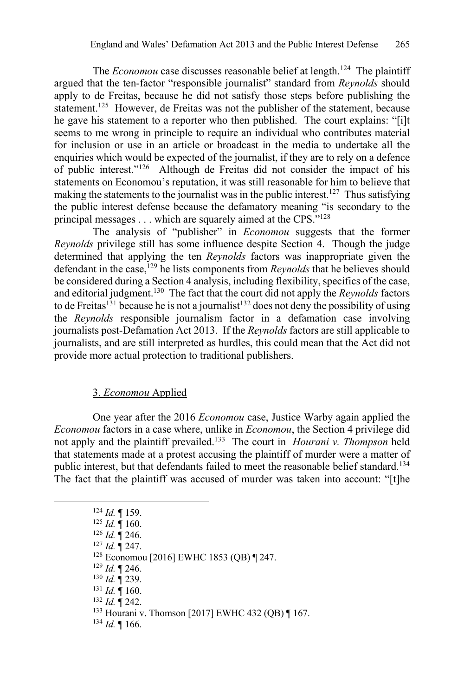The *Economou* case discusses reasonable belief at length.<sup>124</sup> The plaintiff argued that the ten-factor "responsible journalist" standard from *Reynolds* should apply to de Freitas, because he did not satisfy those steps before publishing the statement.<sup>125</sup> However, de Freitas was not the publisher of the statement, because he gave his statement to a reporter who then published. The court explains: "[i]t seems to me wrong in principle to require an individual who contributes material for inclusion or use in an article or broadcast in the media to undertake all the enquiries which would be expected of the journalist, if they are to rely on a defence of public interest."126 Although de Freitas did not consider the impact of his statements on Economou's reputation, it was still reasonable for him to believe that making the statements to the journalist was in the public interest.<sup>127</sup> Thus satisfying the public interest defense because the defamatory meaning "is secondary to the principal messages . . . which are squarely aimed at the CPS."128

The analysis of "publisher" in *Economou* suggests that the former *Reynolds* privilege still has some influence despite Section 4. Though the judge determined that applying the ten *Reynolds* factors was inappropriate given the defendant in the case,129 he lists components from *Reynolds* that he believes should be considered during a Section 4 analysis, including flexibility, specifics of the case, and editorial judgment.130 The fact that the court did not apply the *Reynolds* factors to de Freitas<sup>131</sup> because he is not a journalist<sup>132</sup> does not deny the possibility of using the *Reynolds* responsible journalism factor in a defamation case involving journalists post-Defamation Act 2013. If the *Reynolds* factors are still applicable to journalists, and are still interpreted as hurdles, this could mean that the Act did not provide more actual protection to traditional publishers.

## 3. *Economou* Applied

One year after the 2016 *Economou* case, Justice Warby again applied the *Economou* factors in a case where, unlike in *Economou*, the Section 4 privilege did not apply and the plaintiff prevailed.133 The court in *Hourani v. Thompson* held that statements made at a protest accusing the plaintiff of murder were a matter of public interest, but that defendants failed to meet the reasonable belief standard.134 The fact that the plaintiff was accused of murder was taken into account: "[t]he

- <sup>130</sup> *Id.* ¶ 239.
- <sup>131</sup> *Id.* ¶ 160.
- <sup>132</sup> *Id.* ¶ 242.
- <sup>133</sup> Hourani v. Thomson [2017] EWHC 432 (QB) ¶ 167.
- <sup>134</sup> *Id.* ¶ 166.

<sup>124</sup> *Id.* ¶ 159.

 $125$  *Id.*  $\frac{1}{160}$ .

<sup>126</sup> *Id.* ¶ 246.

<sup>127</sup> *Id.* ¶ 247.

<sup>128</sup> Economou [2016] EWHC 1853 (QB) ¶ 247. 129 *Id.* ¶ 246.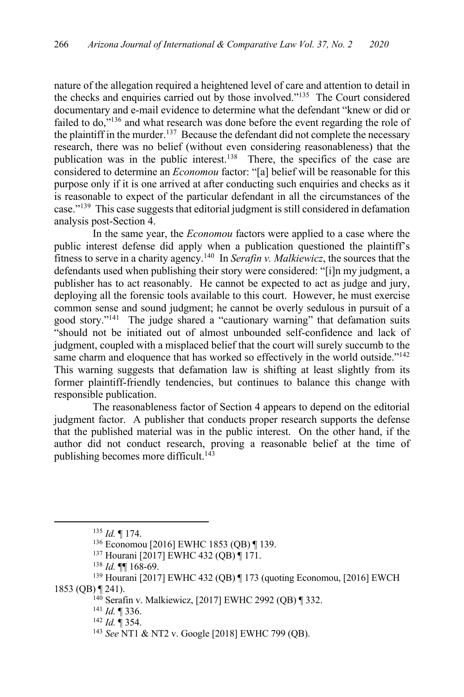nature of the allegation required a heightened level of care and attention to detail in the checks and enquiries carried out by those involved."135 The Court considered documentary and e-mail evidence to determine what the defendant "knew or did or failed to do,"136 and what research was done before the event regarding the role of the plaintiff in the murder.<sup>137</sup> Because the defendant did not complete the necessary research, there was no belief (without even considering reasonableness) that the publication was in the public interest.138 There, the specifics of the case are considered to determine an *Economou* factor: "[a] belief will be reasonable for this purpose only if it is one arrived at after conducting such enquiries and checks as it is reasonable to expect of the particular defendant in all the circumstances of the case."139 This case suggests that editorial judgment is still considered in defamation analysis post-Section 4.

In the same year, the *Economou* factors were applied to a case where the public interest defense did apply when a publication questioned the plaintiff's fitness to serve in a charity agency.140 In *Serafin v. Malkiewicz*, the sources that the defendants used when publishing their story were considered: "[i]n my judgment, a publisher has to act reasonably. He cannot be expected to act as judge and jury, deploying all the forensic tools available to this court. However, he must exercise common sense and sound judgment; he cannot be overly sedulous in pursuit of a good story."141 The judge shared a "cautionary warning" that defamation suits "should not be initiated out of almost unbounded self-confidence and lack of judgment, coupled with a misplaced belief that the court will surely succumb to the same charm and eloquence that has worked so effectively in the world outside."<sup>142</sup> This warning suggests that defamation law is shifting at least slightly from its former plaintiff-friendly tendencies, but continues to balance this change with responsible publication.

The reasonableness factor of Section 4 appears to depend on the editorial judgment factor. A publisher that conducts proper research supports the defense that the published material was in the public interest. On the other hand, if the author did not conduct research, proving a reasonable belief at the time of publishing becomes more difficult.<sup>143</sup>

<sup>135</sup> *Id.* ¶ 174.

<sup>136</sup> Economou [2016] EWHC 1853 (QB) ¶ 139.

<sup>137</sup> Hourani [2017] EWHC 432 (QB) ¶ 171.

<sup>138</sup> *Id.* ¶¶ 168-69.

<sup>139</sup> Hourani [2017] EWHC 432 (QB) ¶ 173 (quoting Economou, [2016] EWCH 1853 (QB) ¶ 241).

<sup>140</sup> Serafin v. Malkiewicz, [2017] EWHC 2992 (QB) ¶ 332.

<sup>&</sup>lt;sup>141</sup> *Id.* ¶ 336.<br><sup>142</sup> *Id.* ¶ 354.

<sup>&</sup>lt;sup>143</sup> *See* NT1 & NT2 v. Google [2018] EWHC 799 (OB).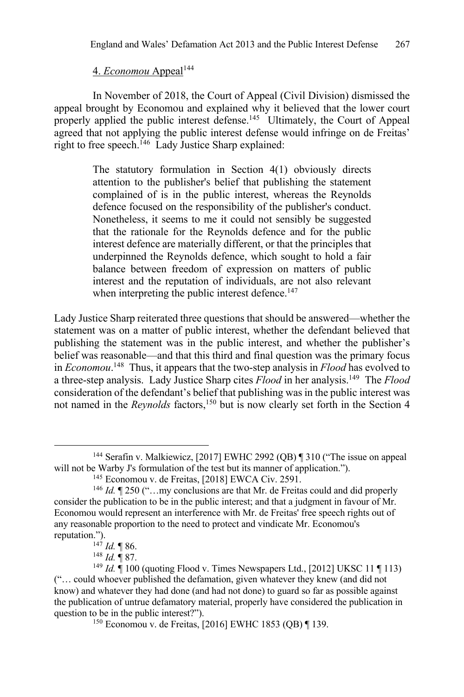# 4. *Economou* Appeal<sup>144</sup>

In November of 2018, the Court of Appeal (Civil Division) dismissed the appeal brought by Economou and explained why it believed that the lower court properly applied the public interest defense.<sup>145</sup> Ultimately, the Court of Appeal agreed that not applying the public interest defense would infringe on de Freitas' right to free speech.<sup>146</sup> Lady Justice Sharp explained:

> The statutory formulation in Section 4(1) obviously directs attention to the publisher's belief that publishing the statement complained of is in the public interest, whereas the Reynolds defence focused on the responsibility of the publisher's conduct. Nonetheless, it seems to me it could not sensibly be suggested that the rationale for the Reynolds defence and for the public interest defence are materially different, or that the principles that underpinned the Reynolds defence, which sought to hold a fair balance between freedom of expression on matters of public interest and the reputation of individuals, are not also relevant when interpreting the public interest defence.<sup>147</sup>

Lady Justice Sharp reiterated three questions that should be answered—whether the statement was on a matter of public interest, whether the defendant believed that publishing the statement was in the public interest, and whether the publisher's belief was reasonable—and that this third and final question was the primary focus in *Economou*. 148 Thus, it appears that the two-step analysis in *Flood* has evolved to a three-step analysis. Lady Justice Sharp cites *Flood* in her analysis.149 The *Flood*  consideration of the defendant's belief that publishing was in the public interest was not named in the *Reynolds* factors,<sup>150</sup> but is now clearly set forth in the Section 4

<sup>144</sup> Serafin v. Malkiewicz, [2017] EWHC 2992 (QB) ¶ 310 ("The issue on appeal will not be Warby J's formulation of the test but its manner of application.").

<sup>145</sup> Economou v. de Freitas, [2018] EWCA Civ. 2591.

<sup>&</sup>lt;sup>146</sup> *Id.* 1250 ("...my conclusions are that Mr. de Freitas could and did properly consider the publication to be in the public interest; and that a judgment in favour of Mr. Economou would represent an interference with Mr. de Freitas' free speech rights out of any reasonable proportion to the need to protect and vindicate Mr. Economou's reputation.").

<sup>147</sup> *Id.* ¶ 86.

<sup>148</sup> *Id.* ¶ 87.

<sup>149</sup> *Id.* ¶ 100 (quoting Flood v. Times Newspapers Ltd., [2012] UKSC 11 ¶ 113) ("… could whoever published the defamation, given whatever they knew (and did not know) and whatever they had done (and had not done) to guard so far as possible against the publication of untrue defamatory material, properly have considered the publication in question to be in the public interest?").

<sup>150</sup> Economou v. de Freitas, [2016] EWHC 1853 (QB) ¶ 139.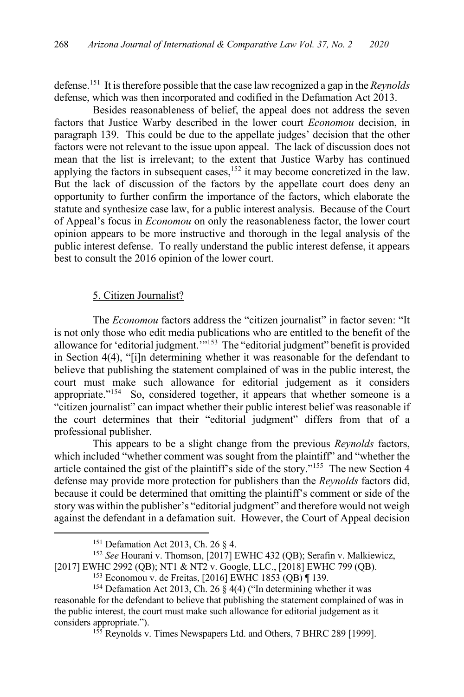defense.151 It is therefore possible that the case law recognized a gap in the *Reynolds* defense, which was then incorporated and codified in the Defamation Act 2013.

Besides reasonableness of belief, the appeal does not address the seven factors that Justice Warby described in the lower court *Economou* decision, in paragraph 139. This could be due to the appellate judges' decision that the other factors were not relevant to the issue upon appeal. The lack of discussion does not mean that the list is irrelevant; to the extent that Justice Warby has continued applying the factors in subsequent cases,<sup>152</sup> it may become concretized in the law. But the lack of discussion of the factors by the appellate court does deny an opportunity to further confirm the importance of the factors, which elaborate the statute and synthesize case law, for a public interest analysis. Because of the Court of Appeal's focus in *Economou* on only the reasonableness factor, the lower court opinion appears to be more instructive and thorough in the legal analysis of the public interest defense. To really understand the public interest defense, it appears best to consult the 2016 opinion of the lower court.

## 5. Citizen Journalist?

The *Economou* factors address the "citizen journalist" in factor seven: "It is not only those who edit media publications who are entitled to the benefit of the allowance for 'editorial judgment.'"153 The "editorial judgment" benefit is provided in Section 4(4), "[i]n determining whether it was reasonable for the defendant to believe that publishing the statement complained of was in the public interest, the court must make such allowance for editorial judgement as it considers appropriate."154 So, considered together, it appears that whether someone is a "citizen journalist" can impact whether their public interest belief was reasonable if the court determines that their "editorial judgment" differs from that of a professional publisher.

This appears to be a slight change from the previous *Reynolds* factors, which included "whether comment was sought from the plaintiff" and "whether the article contained the gist of the plaintiff's side of the story."155 The new Section 4 defense may provide more protection for publishers than the *Reynolds* factors did, because it could be determined that omitting the plaintiff's comment or side of the story was within the publisher's "editorial judgment" and therefore would not weigh against the defendant in a defamation suit. However, the Court of Appeal decision

<sup>151</sup> Defamation Act 2013, Ch. 26 § 4.

<sup>152</sup> *See* Hourani v. Thomson, [2017] EWHC 432 (QB); Serafin v. Malkiewicz, [2017] EWHC 2992 (QB); NT1 & NT2 v. Google, LLC., [2018] EWHC 799 (QB). 153 Economou v. de Freitas, [2016] EWHC 1853 (QB) ¶ 139.

<sup>154</sup> Defamation Act 2013, Ch. 26 § 4(4) ("In determining whether it was reasonable for the defendant to believe that publishing the statement complained of was in the public interest, the court must make such allowance for editorial judgement as it considers appropriate.").

<sup>&</sup>lt;sup>155</sup> Reynolds v. Times Newspapers Ltd. and Others, 7 BHRC 289 [1999].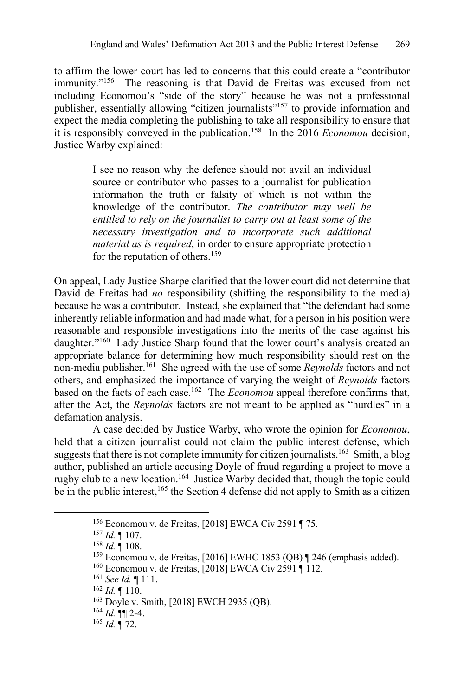to affirm the lower court has led to concerns that this could create a "contributor immunity."<sup>156</sup> The reasoning is that David de Freitas was excused from not including Economou's "side of the story" because he was not a professional publisher, essentially allowing "citizen journalists"157 to provide information and expect the media completing the publishing to take all responsibility to ensure that it is responsibly conveyed in the publication.158 In the 2016 *Economou* decision, Justice Warby explained:

> I see no reason why the defence should not avail an individual source or contributor who passes to a journalist for publication information the truth or falsity of which is not within the knowledge of the contributor. *The contributor may well be entitled to rely on the journalist to carry out at least some of the necessary investigation and to incorporate such additional material as is required*, in order to ensure appropriate protection for the reputation of others.<sup>159</sup>

On appeal, Lady Justice Sharpe clarified that the lower court did not determine that David de Freitas had *no* responsibility (shifting the responsibility to the media) because he was a contributor. Instead, she explained that "the defendant had some inherently reliable information and had made what, for a person in his position were reasonable and responsible investigations into the merits of the case against his daughter."<sup>160</sup> Lady Justice Sharp found that the lower court's analysis created an appropriate balance for determining how much responsibility should rest on the non-media publisher.161 She agreed with the use of some *Reynolds* factors and not others, and emphasized the importance of varying the weight of *Reynolds* factors based on the facts of each case.162 The *Economou* appeal therefore confirms that, after the Act, the *Reynolds* factors are not meant to be applied as "hurdles" in a defamation analysis.

A case decided by Justice Warby, who wrote the opinion for *Economou*, held that a citizen journalist could not claim the public interest defense, which suggests that there is not complete immunity for citizen journalists.<sup>163</sup> Smith, a blog author, published an article accusing Doyle of fraud regarding a project to move a rugby club to a new location.164 Justice Warby decided that, though the topic could be in the public interest,<sup>165</sup> the Section 4 defense did not apply to Smith as a citizen

<sup>156</sup> Economou v. de Freitas, [2018] EWCA Civ 2591 ¶ 75.

<sup>157</sup> *Id.* ¶ 107.

<sup>158</sup> *Id.* ¶ 108.

<sup>&</sup>lt;sup>159</sup> Economou v. de Freitas, [2016] EWHC 1853 (QB) ¶ 246 (emphasis added). <sup>160</sup> Economou v. de Freitas, [2018] EWCA Civ 2591 ¶ 112.

<sup>161</sup> *See Id.* ¶ 111.

<sup>162</sup> *Id.* ¶ 110.

<sup>163</sup> Doyle v. Smith, [2018] EWCH 2935 (QB). 164 *Id.* ¶¶ 2-4.

<sup>165</sup> *Id.* ¶ 72.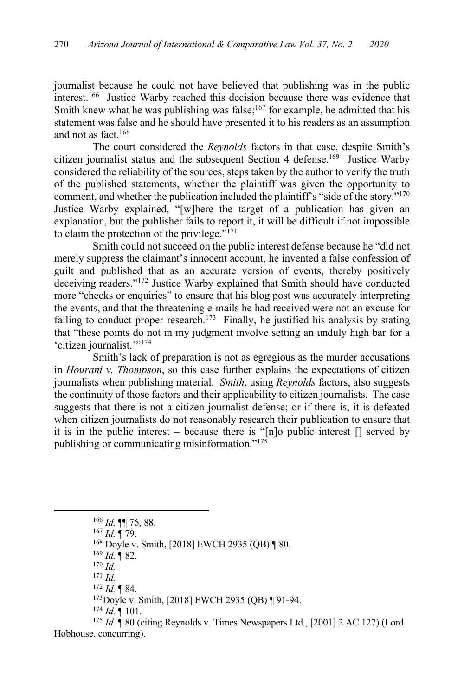journalist because he could not have believed that publishing was in the public interest.166 Justice Warby reached this decision because there was evidence that Smith knew what he was publishing was false;<sup>167</sup> for example, he admitted that his statement was false and he should have presented it to his readers as an assumption and not as fact.<sup>168</sup>

The court considered the *Reynolds* factors in that case, despite Smith's citizen journalist status and the subsequent Section 4 defense.<sup>169</sup> Justice Warby considered the reliability of the sources, steps taken by the author to verify the truth of the published statements, whether the plaintiff was given the opportunity to comment, and whether the publication included the plaintiff's "side of the story."<sup>170</sup> Justice Warby explained, "[w]here the target of a publication has given an explanation, but the publisher fails to report it, it will be difficult if not impossible to claim the protection of the privilege."171

Smith could not succeed on the public interest defense because he "did not merely suppress the claimant's innocent account, he invented a false confession of guilt and published that as an accurate version of events, thereby positively deceiving readers."172 Justice Warby explained that Smith should have conducted more "checks or enquiries" to ensure that his blog post was accurately interpreting the events, and that the threatening e-mails he had received were not an excuse for failing to conduct proper research.<sup>173</sup> Finally, he justified his analysis by stating that "these points do not in my judgment involve setting an unduly high bar for a 'citizen journalist.'"174

Smith's lack of preparation is not as egregious as the murder accusations in *Hourani v. Thompson*, so this case further explains the expectations of citizen journalists when publishing material. *Smith*, using *Reynolds* factors, also suggests the continuity of those factors and their applicability to citizen journalists. The case suggests that there is not a citizen journalist defense; or if there is, it is defeated when citizen journalists do not reasonably research their publication to ensure that it is in the public interest – because there is "[n]o public interest [] served by publishing or communicating misinformation."175

<sup>166</sup> *Id.* ¶¶ 76, 88.

<sup>167</sup> *Id.* ¶ 79.

<sup>168</sup> Doyle v. Smith, [2018] EWCH 2935 (QB) ¶ 80.

 $169$  *Id.* 182.

<sup>170</sup> *Id.*

<sup>171</sup> *Id.*

<sup>172</sup> *Id.* ¶ 84.

173Doyle v. Smith, [2018] EWCH 2935 (QB) ¶ 91-94.

<sup>174</sup> *Id.* ¶ 101.

<sup>175</sup> *Id.* ¶ 80 (citing Reynolds v. Times Newspapers Ltd., [2001] 2 AC 127) (Lord Hobhouse, concurring).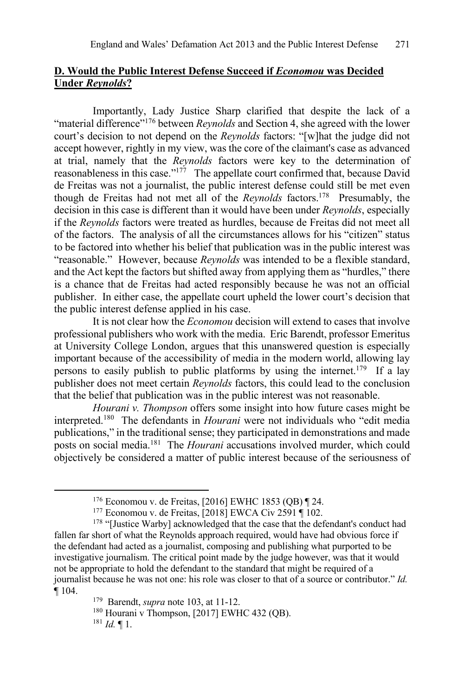# **D. Would the Public Interest Defense Succeed if** *Economou* **was Decided Under** *Reynolds***?**

Importantly, Lady Justice Sharp clarified that despite the lack of a "material difference"<sup>176</sup> between *Reynolds* and Section 4, she agreed with the lower court's decision to not depend on the *Reynolds* factors: "[w]hat the judge did not accept however, rightly in my view, was the core of the claimant's case as advanced at trial, namely that the *Reynolds* factors were key to the determination of reasonableness in this case." $177$  The appellate court confirmed that, because David de Freitas was not a journalist, the public interest defense could still be met even though de Freitas had not met all of the *Reynolds* factors.178 Presumably, the decision in this case is different than it would have been under *Reynolds*, especially if the *Reynolds* factors were treated as hurdles, because de Freitas did not meet all of the factors. The analysis of all the circumstances allows for his "citizen" status to be factored into whether his belief that publication was in the public interest was "reasonable." However, because *Reynolds* was intended to be a flexible standard, and the Act kept the factors but shifted away from applying them as "hurdles," there is a chance that de Freitas had acted responsibly because he was not an official publisher. In either case, the appellate court upheld the lower court's decision that the public interest defense applied in his case.

It is not clear how the *Economou* decision will extend to cases that involve professional publishers who work with the media. Eric Barendt, professor Emeritus at University College London, argues that this unanswered question is especially important because of the accessibility of media in the modern world, allowing lay persons to easily publish to public platforms by using the internet.<sup>179</sup> If a lay publisher does not meet certain *Reynolds* factors, this could lead to the conclusion that the belief that publication was in the public interest was not reasonable.

*Hourani v. Thompson* offers some insight into how future cases might be interpreted.180 The defendants in *Hourani* were not individuals who "edit media publications," in the traditional sense; they participated in demonstrations and made posts on social media.181 The *Hourani* accusations involved murder, which could objectively be considered a matter of public interest because of the seriousness of

<sup>&</sup>lt;sup>176</sup> Economou v. de Freitas, [2016] EWHC 1853 (QB) ¶ 24. <sup>177</sup> Economou v. de Freitas, [2018] EWCA Civ 2591 ¶ 102.

<sup>&</sup>lt;sup>178</sup> "[Justice Warby] acknowledged that the case that the defendant's conduct had fallen far short of what the Reynolds approach required, would have had obvious force if the defendant had acted as a journalist, composing and publishing what purported to be investigative journalism. The critical point made by the judge however, was that it would not be appropriate to hold the defendant to the standard that might be required of a journalist because he was not one: his role was closer to that of a source or contributor." *Id.* ¶ 104.

<sup>179</sup> Barendt, *supra* note 103, at 11-12.

 $180$  Hourani v Thompson, [2017] EWHC 432 (QB).

<sup>181</sup> *Id.* ¶ 1.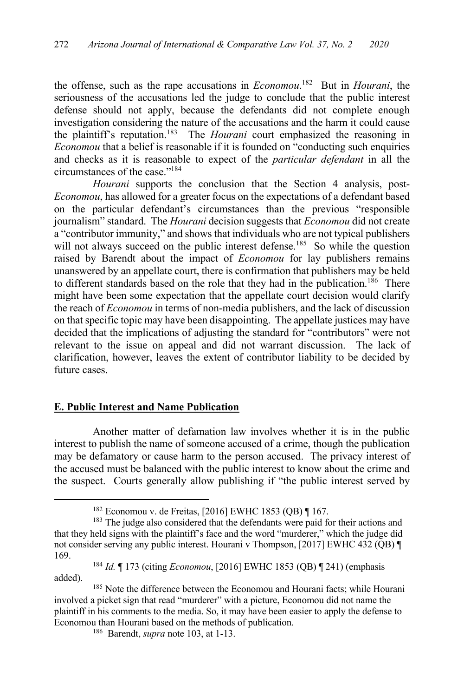the offense, such as the rape accusations in *Economou*. 182 But in *Hourani*, the seriousness of the accusations led the judge to conclude that the public interest defense should not apply, because the defendants did not complete enough investigation considering the nature of the accusations and the harm it could cause the plaintiff's reputation.183 The *Hourani* court emphasized the reasoning in *Economou* that a belief is reasonable if it is founded on "conducting such enquiries and checks as it is reasonable to expect of the *particular defendant* in all the circumstances of the case."184

*Hourani* supports the conclusion that the Section 4 analysis, post-*Economou*, has allowed for a greater focus on the expectations of a defendant based on the particular defendant's circumstances than the previous "responsible journalism" standard. The *Hourani* decision suggests that *Economou* did not create a "contributor immunity," and shows that individuals who are not typical publishers will not always succeed on the public interest defense.<sup>185</sup> So while the question raised by Barendt about the impact of *Economou* for lay publishers remains unanswered by an appellate court, there is confirmation that publishers may be held to different standards based on the role that they had in the publication.<sup>186</sup> There might have been some expectation that the appellate court decision would clarify the reach of *Economou* in terms of non-media publishers, and the lack of discussion on that specific topic may have been disappointing. The appellate justices may have decided that the implications of adjusting the standard for "contributors" were not relevant to the issue on appeal and did not warrant discussion. The lack of clarification, however, leaves the extent of contributor liability to be decided by future cases.

## **E. Public Interest and Name Publication**

Another matter of defamation law involves whether it is in the public interest to publish the name of someone accused of a crime, though the publication may be defamatory or cause harm to the person accused. The privacy interest of the accused must be balanced with the public interest to know about the crime and the suspect. Courts generally allow publishing if "the public interest served by

<sup>182</sup> Economou v. de Freitas, [2016] EWHC 1853 (QB) ¶ 167.

<sup>&</sup>lt;sup>183</sup> The judge also considered that the defendants were paid for their actions and that they held signs with the plaintiff's face and the word "murderer," which the judge did not consider serving any public interest. Hourani v Thompson, [2017] EWHC 432 (QB) ¶ 169.

<sup>184</sup> *Id.* ¶ 173 (citing *Economou*, [2016] EWHC 1853 (QB) ¶ 241) (emphasis added).

<sup>&</sup>lt;sup>185</sup> Note the difference between the Economou and Hourani facts; while Hourani involved a picket sign that read "murderer" with a picture, Economou did not name the plaintiff in his comments to the media. So, it may have been easier to apply the defense to Economou than Hourani based on the methods of publication. 186 Barendt, *supra* note 103, at 1-13.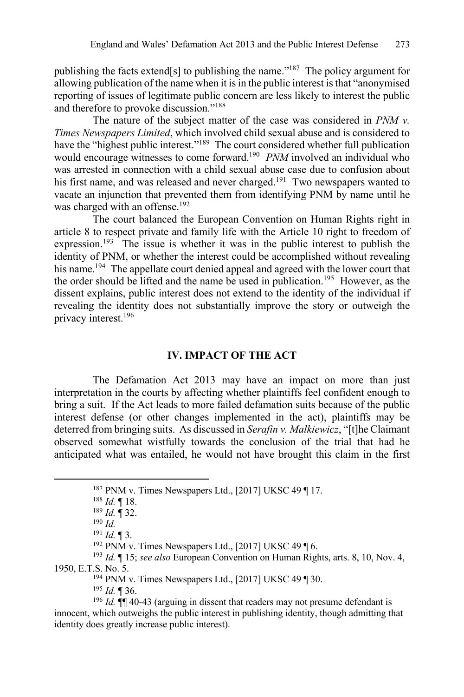publishing the facts extend[s] to publishing the name."187 The policy argument for allowing publication of the name when it is in the public interest is that "anonymised reporting of issues of legitimate public concern are less likely to interest the public and therefore to provoke discussion."188

The nature of the subject matter of the case was considered in *PNM v. Times Newspapers Limited*, which involved child sexual abuse and is considered to have the "highest public interest."<sup>189</sup> The court considered whether full publication would encourage witnesses to come forward.190 *PNM* involved an individual who was arrested in connection with a child sexual abuse case due to confusion about his first name, and was released and never charged.<sup>191</sup> Two newspapers wanted to vacate an injunction that prevented them from identifying PNM by name until he was charged with an offense.<sup>192</sup>

The court balanced the European Convention on Human Rights right in article 8 to respect private and family life with the Article 10 right to freedom of expression.<sup>193</sup> The issue is whether it was in the public interest to publish the identity of PNM, or whether the interest could be accomplished without revealing his name.<sup>194</sup> The appellate court denied appeal and agreed with the lower court that the order should be lifted and the name be used in publication.195 However, as the dissent explains, public interest does not extend to the identity of the individual if revealing the identity does not substantially improve the story or outweigh the privacy interest.196

#### **IV. IMPACT OF THE ACT**

The Defamation Act 2013 may have an impact on more than just interpretation in the courts by affecting whether plaintiffs feel confident enough to bring a suit. If the Act leads to more failed defamation suits because of the public interest defense (or other changes implemented in the act), plaintiffs may be deterred from bringing suits. As discussed in *Serafin v. Malkiewicz*, "[t]he Claimant observed somewhat wistfully towards the conclusion of the trial that had he anticipated what was entailed, he would not have brought this claim in the first

<sup>195</sup> *Id.* ¶ 36.

<sup>196</sup> *Id.*  $\P$  40-43 (arguing in dissent that readers may not presume defendant is innocent, which outweighs the public interest in publishing identity, though admitting that identity does greatly increase public interest).

<sup>&</sup>lt;sup>187</sup> PNM v. Times Newspapers Ltd., [2017] UKSC 49  $\P$  17.

<sup>188</sup> *Id.* ¶ 18.

<sup>189</sup> *Id.* ¶ 32.

<sup>190</sup> *Id.*

<sup>191</sup> *Id.* ¶ 3.

<sup>&</sup>lt;sup>192</sup> PNM v. Times Newspapers Ltd., [2017] UKSC 49  $\P$  6.

<sup>193</sup> *Id.* ¶ 15; *see also* European Convention on Human Rights, arts. 8, 10, Nov. 4, 1950, E.T.S. No. 5.<br><sup>194</sup> PNM v. Times Newspapers Ltd., [2017] UKSC 49 ¶ 30.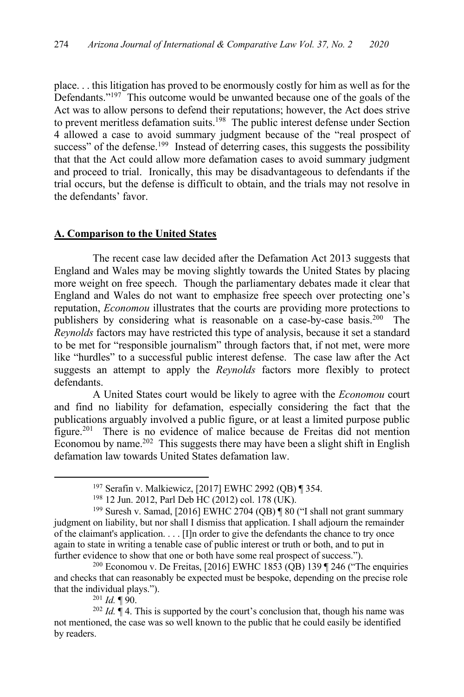place. . . this litigation has proved to be enormously costly for him as well as for the Defendants."197 This outcome would be unwanted because one of the goals of the Act was to allow persons to defend their reputations; however, the Act does strive to prevent meritless defamation suits.<sup>198</sup> The public interest defense under Section 4 allowed a case to avoid summary judgment because of the "real prospect of success" of the defense.<sup>199</sup> Instead of deterring cases, this suggests the possibility that that the Act could allow more defamation cases to avoid summary judgment and proceed to trial. Ironically, this may be disadvantageous to defendants if the trial occurs, but the defense is difficult to obtain, and the trials may not resolve in the defendants' favor.

#### **A. Comparison to the United States**

The recent case law decided after the Defamation Act 2013 suggests that England and Wales may be moving slightly towards the United States by placing more weight on free speech. Though the parliamentary debates made it clear that England and Wales do not want to emphasize free speech over protecting one's reputation, *Economou* illustrates that the courts are providing more protections to publishers by considering what is reasonable on a case-by-case basis.200 The *Reynolds* factors may have restricted this type of analysis, because it set a standard to be met for "responsible journalism" through factors that, if not met, were more like "hurdles" to a successful public interest defense. The case law after the Act suggests an attempt to apply the *Reynolds* factors more flexibly to protect defendants.

A United States court would be likely to agree with the *Economou* court and find no liability for defamation, especially considering the fact that the publications arguably involved a public figure, or at least a limited purpose public figure.201 There is no evidence of malice because de Freitas did not mention Economou by name.202 This suggests there may have been a slight shift in English defamation law towards United States defamation law.

<sup>200</sup> Economou v. De Freitas, [2016] EWHC 1853 (QB) 139 ¶ 246 ("The enquiries and checks that can reasonably be expected must be bespoke, depending on the precise role that the individual plays.").

<sup>201</sup> *Id.* ¶ 90.

<sup>202</sup> *Id.* ¶ 4. This is supported by the court's conclusion that, though his name was not mentioned, the case was so well known to the public that he could easily be identified by readers.

<sup>197</sup> Serafin v. Malkiewicz, [2017] EWHC 2992 (QB) ¶ 354.

<sup>198</sup> 12 Jun. 2012, Parl Deb HC (2012) col. 178 (UK).

<sup>&</sup>lt;sup>199</sup> Suresh v. Samad, [2016] EWHC 2704 (QB) | 80 ("I shall not grant summary judgment on liability, but nor shall I dismiss that application. I shall adjourn the remainder of the claimant's application. . . . [I]n order to give the defendants the chance to try once again to state in writing a tenable case of public interest or truth or both, and to put in further evidence to show that one or both have some real prospect of success.").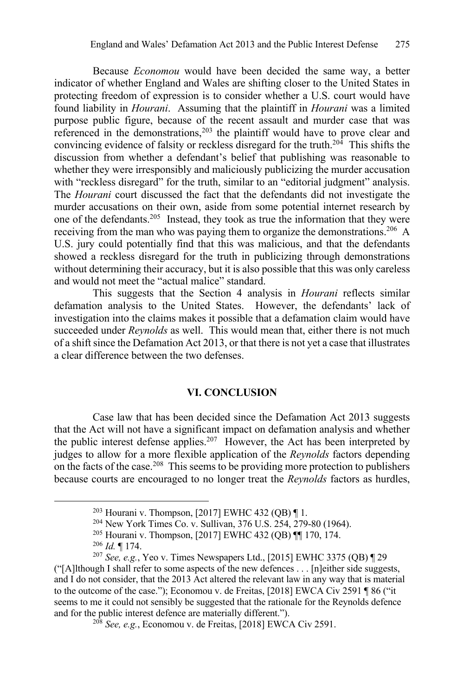Because *Economou* would have been decided the same way, a better indicator of whether England and Wales are shifting closer to the United States in protecting freedom of expression is to consider whether a U.S. court would have found liability in *Hourani*. Assuming that the plaintiff in *Hourani* was a limited purpose public figure, because of the recent assault and murder case that was referenced in the demonstrations, $2^{03}$  the plaintiff would have to prove clear and convincing evidence of falsity or reckless disregard for the truth.<sup>204</sup> This shifts the discussion from whether a defendant's belief that publishing was reasonable to whether they were irresponsibly and maliciously publicizing the murder accusation with "reckless disregard" for the truth, similar to an "editorial judgment" analysis. The *Hourani* court discussed the fact that the defendants did not investigate the murder accusations on their own, aside from some potential internet research by one of the defendants.205 Instead, they took as true the information that they were receiving from the man who was paying them to organize the demonstrations.<sup>206</sup> A U.S. jury could potentially find that this was malicious, and that the defendants showed a reckless disregard for the truth in publicizing through demonstrations without determining their accuracy, but it is also possible that this was only careless and would not meet the "actual malice" standard.

This suggests that the Section 4 analysis in *Hourani* reflects similar defamation analysis to the United States. However, the defendants' lack of investigation into the claims makes it possible that a defamation claim would have succeeded under *Reynolds* as well. This would mean that, either there is not much of a shift since the Defamation Act 2013, or that there is not yet a case that illustrates a clear difference between the two defenses.

## **VI. CONCLUSION**

Case law that has been decided since the Defamation Act 2013 suggests that the Act will not have a significant impact on defamation analysis and whether the public interest defense applies.<sup>207</sup> However, the Act has been interpreted by judges to allow for a more flexible application of the *Reynolds* factors depending on the facts of the case.<sup>208</sup> This seems to be providing more protection to publishers because courts are encouraged to no longer treat the *Reynolds* factors as hurdles,

<sup>&</sup>lt;sup>203</sup> Hourani v. Thompson, [2017] EWHC 432 (QB)  $\P$  1.<br><sup>204</sup> New York Times Co. v. Sullivan, 376 U.S. 254, 279-80 (1964).

<sup>&</sup>lt;sup>205</sup> Hourani v. Thompson, [2017] EWHC 432 (QB) ¶¶ 170, 174.

<sup>206</sup> *Id.* ¶ 174.

<sup>207</sup> *See, e.g.*, Yeo v. Times Newspapers Ltd., [2015] EWHC 3375 (QB) ¶ 29 ("[A]lthough I shall refer to some aspects of the new defences . . . [n]either side suggests, and I do not consider, that the 2013 Act altered the relevant law in any way that is material to the outcome of the case."); Economou v. de Freitas, [2018] EWCA Civ 2591 ¶ 86 ("it seems to me it could not sensibly be suggested that the rationale for the Reynolds defence and for the public interest defence are materially different.").

<sup>208</sup> *See, e.g.*, Economou v. de Freitas, [2018] EWCA Civ 2591.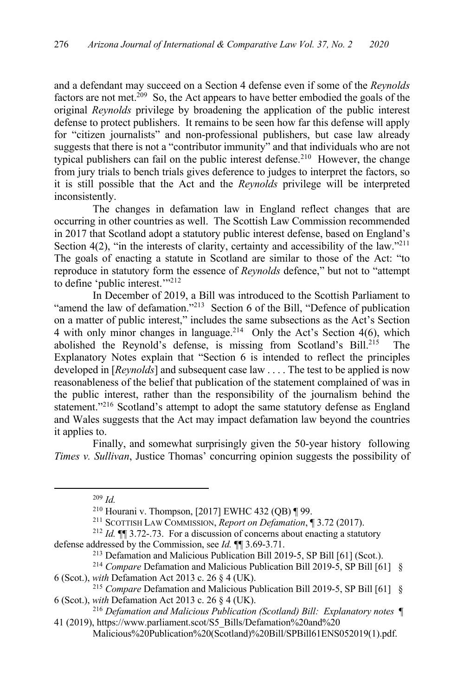and a defendant may succeed on a Section 4 defense even if some of the *Reynolds*  factors are not met.<sup>209</sup> So, the Act appears to have better embodied the goals of the original *Reynolds* privilege by broadening the application of the public interest defense to protect publishers. It remains to be seen how far this defense will apply for "citizen journalists" and non-professional publishers, but case law already suggests that there is not a "contributor immunity" and that individuals who are not typical publishers can fail on the public interest defense.<sup>210</sup> However, the change from jury trials to bench trials gives deference to judges to interpret the factors, so it is still possible that the Act and the *Reynolds* privilege will be interpreted inconsistently.

The changes in defamation law in England reflect changes that are occurring in other countries as well. The Scottish Law Commission recommended in 2017 that Scotland adopt a statutory public interest defense, based on England's Section 4(2), "in the interests of clarity, certainty and accessibility of the law."<sup>211</sup> The goals of enacting a statute in Scotland are similar to those of the Act: "to reproduce in statutory form the essence of *Reynolds* defence," but not to "attempt to define 'public interest."<sup>212</sup>

In December of 2019, a Bill was introduced to the Scottish Parliament to "amend the law of defamation."<sup>213</sup> Section 6 of the Bill, "Defence of publication" on a matter of public interest," includes the same subsections as the Act's Section 4 with only minor changes in language.<sup>214</sup> Only the Act's Section 4(6), which abolished the Reynold's defense, is missing from Scotland's Bill.<sup>215</sup> The Explanatory Notes explain that "Section 6 is intended to reflect the principles developed in [*Reynolds*] and subsequent case law . . . . The test to be applied is now reasonableness of the belief that publication of the statement complained of was in the public interest, rather than the responsibility of the journalism behind the statement."<sup>216</sup> Scotland's attempt to adopt the same statutory defense as England and Wales suggests that the Act may impact defamation law beyond the countries it applies to.

Finally, and somewhat surprisingly given the 50-year history following *Times v. Sullivan*, Justice Thomas' concurring opinion suggests the possibility of

<sup>209</sup> *Id.*

<sup>&</sup>lt;sup>210</sup> Hourani v. Thompson, [2017] EWHC 432 (QB)  $\P$  99.

<sup>211</sup> SCOTTISH LAW COMMISSION, *Report on Defamation*, ¶ 3.72 (2017).

<sup>212</sup> *Id.* ¶¶ 3.72-.73. For a discussion of concerns about enacting a statutory defense addressed by the Commission, see *Id.* ¶¶ 3.69-3.71.

<sup>&</sup>lt;sup>213</sup> Defamation and Malicious Publication Bill 2019-5, SP Bill [61] (Scot.).

<sup>214</sup> *Compare* Defamation and Malicious Publication Bill 2019-5, SP Bill [61] § 6 (Scot.), *with* Defamation Act 2013 c. 26 § 4 (UK).

<sup>215</sup> *Compare* Defamation and Malicious Publication Bill 2019-5, SP Bill [61] § 6 (Scot.), *with* Defamation Act 2013 c. 26 § 4 (UK).

<sup>216</sup> *Defamation and Malicious Publication (Scotland) Bill: Explanatory notes* ¶ 41 (2019), https://www.parliament.scot/S5\_Bills/Defamation%20and%20

Malicious%20Publication%20(Scotland)%20Bill/SPBill61ENS052019(1).pdf.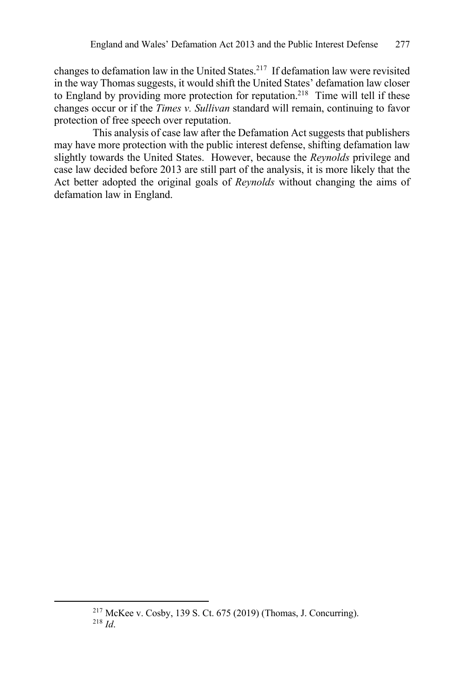changes to defamation law in the United States.217 If defamation law were revisited in the way Thomas suggests, it would shift the United States' defamation law closer to England by providing more protection for reputation.<sup>218</sup> Time will tell if these changes occur or if the *Times v. Sullivan* standard will remain, continuing to favor protection of free speech over reputation.

This analysis of case law after the Defamation Act suggests that publishers may have more protection with the public interest defense, shifting defamation law slightly towards the United States. However, because the *Reynolds* privilege and case law decided before 2013 are still part of the analysis, it is more likely that the Act better adopted the original goals of *Reynolds* without changing the aims of defamation law in England.

<sup>217</sup> McKee v. Cosby, 139 S. Ct. 675 (2019) (Thomas, J. Concurring). <sup>218</sup> *Id*.